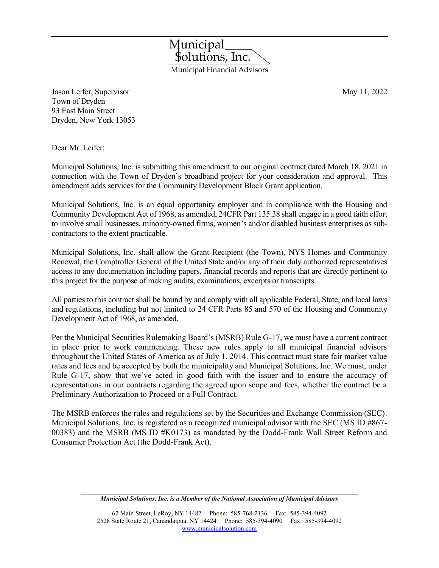Jason Leifer, Supervisor May 11, 2022 Town of Dryden 93 East Main Street Dryden, New York 13053

Dear Mr. Leifer:

Municipal Solutions, Inc. is submitting this amendment to our original contract dated March 18, 2021 in connection with the Town of Dryden's broadband project for your consideration and approval. This amendment adds services for the Community Development Block Grant application.

Municipal Solutions, Inc. is an equal opportunity employer and in compliance with the Housing and Community Development Act of 1968, as amended, 24CFR Part 135.38 shall engage in a good faith effort to involve small businesses, minority-owned firms, women's and/or disabled business enterprises as subcontractors to the extent practicable.

Municipal Solutions, Inc. shall allow the Grant Recipient (the Town), NYS Homes and Community Renewal, the Comptroller General of the United State and/or any of their duly authorized representatives access to any documentation including papers, financial records and reports that are directly pertinent to this project for the purpose of making audits, examinations, excerpts or transcripts.

All parties to this contract shall be bound by and comply with all applicable Federal, State, and local laws and regulations, including but not limited to 24 CFR Parts 85 and 570 of the Housing and Community Development Act of 1968, as amended.

Per the Municipal Securities Rulemaking Board's (MSRB) Rule G-17, we must have a current contract in place prior to work commencing. These new rules apply to all municipal financial advisors throughout the United States of America as of July 1, 2014. This contract must state fair market value rates and fees and be accepted by both the municipality and Municipal Solutions, Inc. We must, under Rule G-17, show that we've acted in good faith with the issuer and to ensure the accuracy of representations in our contracts regarding the agreed upon scope and fees, whether the contract be a Preliminary Authorization to Proceed or a Full Contract.

The MSRB enforces the rules and regulations set by the Securities and Exchange Commission (SEC). Municipal Solutions, Inc. is registered as a recognized municipal advisor with the SEC (MS ID #867- 00383) and the MSRB (MS ID #K0173) as mandated by the Dodd-Frank Wall Street Reform and Consumer Protection Act (the Dodd-Frank Act).



 $\mathcal{L}_\text{max}$ *Municipal Solutions, Inc. is a Member of the National Association of Municipal Advisors*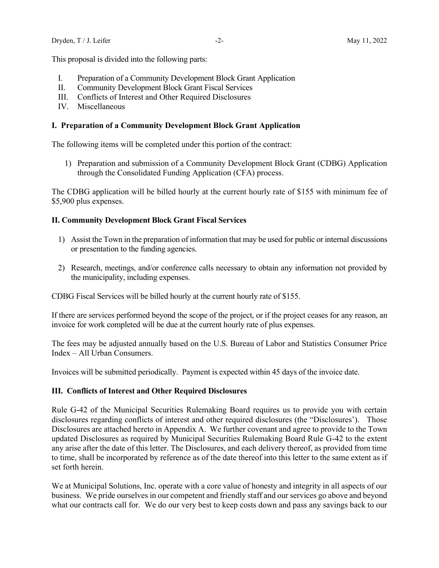This proposal is divided into the following parts:

- I. Preparation of a Community Development Block Grant Application
- II. Community Development Block Grant Fiscal Services
- III. Conflicts of Interest and Other Required Disclosures
- IV. Miscellaneous

## **I. Preparation of a Community Development Block Grant Application**

The following items will be completed under this portion of the contract:

1) Preparation and submission of a Community Development Block Grant (CDBG) Application through the Consolidated Funding Application (CFA) process.

The CDBG application will be billed hourly at the current hourly rate of \$155 with minimum fee of \$5,900 plus expenses.

# **II. Community Development Block Grant Fiscal Services**

- 1) Assist the Town in the preparation of information that may be used for public or internal discussions or presentation to the funding agencies.
- 2) Research, meetings, and/or conference calls necessary to obtain any information not provided by the municipality, including expenses.

CDBG Fiscal Services will be billed hourly at the current hourly rate of \$155.

If there are services performed beyond the scope of the project, or if the project ceases for any reason, an invoice for work completed will be due at the current hourly rate of plus expenses.

The fees may be adjusted annually based on the U.S. Bureau of Labor and Statistics Consumer Price Index – All Urban Consumers.

Invoices will be submitted periodically. Payment is expected within 45 days of the invoice date.

## **III. Conflicts of Interest and Other Required Disclosures**

Rule G-42 of the Municipal Securities Rulemaking Board requires us to provide you with certain disclosures regarding conflicts of interest and other required disclosures (the "Disclosures'). Those Disclosures are attached hereto in Appendix A. We further covenant and agree to provide to the Town updated Disclosures as required by Municipal Securities Rulemaking Board Rule G-42 to the extent any arise after the date of this letter. The Disclosures, and each delivery thereof, as provided from time to time, shall be incorporated by reference as of the date thereof into this letter to the same extent as if set forth herein.

We at Municipal Solutions, Inc. operate with a core value of honesty and integrity in all aspects of our business. We pride ourselves in our competent and friendly staff and our services go above and beyond what our contracts call for. We do our very best to keep costs down and pass any savings back to our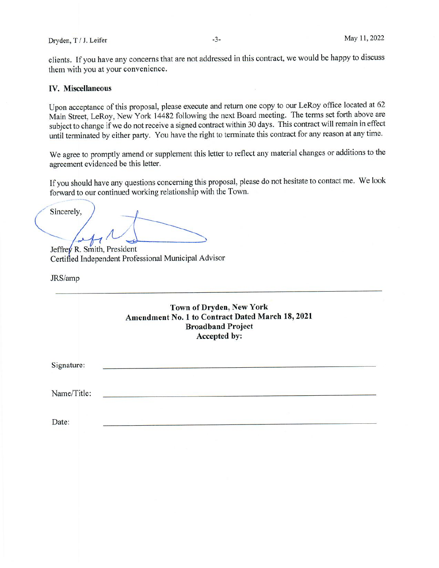clients. If you have any concerns that are not addressed in this contract, we would be happy to discuss them with you at your convenience.

## IV. Miscellaneous

Upon acceptance of this proposal, <sup>p</sup>lease execute and return one copy to our LeRoy office located at <sup>62</sup> Main Street, LeRoy, New York <sup>14482</sup> following the next Board meeting. The terms set forth above are subject to change if we do not receive <sup>a</sup> signed contract within <sup>30</sup> days. This contract will remain in effect until terminated by either party. You have the right to terminate this contract for any reason at any time.

We agree to promptly amend or supplement this letter to reflect any material changes or additions to the agreemen<sup>t</sup> evidenced be this letter.

If you should have any questions concerning this proposal, <sup>p</sup>lease do not hesitate to contact me. We look forward to our continued working relationship with the Town.

Sincerely, */-Hr<sup>1</sup>*

Jeffrey R. Smith, President Certified Independent Professional Municipal Advisor

JRS/amp

| Town of Dryden, New York                         |
|--------------------------------------------------|
| Amendment No. 1 to Contract Dated March 18, 2021 |
| <b>Broadband Project</b>                         |
| Accepted by:                                     |

Signature:

Name/Title:

Date: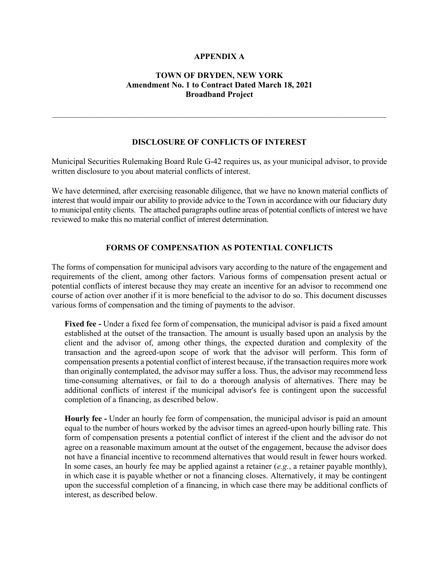## **APPENDIX A**

# **TOWN OF DRYDEN, NEW YORK Amendment No. 1 to Contract Dated March 18, 2021 Broadband Project**

 $\_$  , and the contribution of the contribution of the contribution of the contribution of  $\mathcal{L}_\text{max}$ 

# **DISCLOSURE OF CONFLICTS OF INTEREST**

Municipal Securities Rulemaking Board Rule G-42 requires us, as your municipal advisor, to provide written disclosure to you about material conflicts of interest.

We have determined, after exercising reasonable diligence, that we have no known material conflicts of interest that would impair our ability to provide advice to the Town in accordance with our fiduciary duty to municipal entity clients. The attached paragraphs outline areas of potential conflicts of interest we have reviewed to make this no material conflict of interest determination.

## **FORMS OF COMPENSATION AS POTENTIAL CONFLICTS**

The forms of compensation for municipal advisors vary according to the nature of the engagement and requirements of the client, among other factors. Various forms of compensation present actual or potential conflicts of interest because they may create an incentive for an advisor to recommend one course of action over another if it is more beneficial to the advisor to do so. This document discusses various forms of compensation and the timing of payments to the advisor.

**Fixed fee -** Under a fixed fee form of compensation, the municipal advisor is paid a fixed amount established at the outset of the transaction. The amount is usually based upon an analysis by the client and the advisor of, among other things, the expected duration and complexity of the transaction and the agreed-upon scope of work that the advisor will perform. This form of compensation presents a potential conflict of interest because, if the transaction requires more work than originally contemplated, the advisor may suffer a loss. Thus, the advisor may recommend less time-consuming alternatives, or fail to do a thorough analysis of alternatives. There may be additional conflicts of interest if the municipal advisor's fee is contingent upon the successful completion of a financing, as described below.

**Hourly fee -** Under an hourly fee form of compensation, the municipal advisor is paid an amount equal to the number of hours worked by the advisor times an agreed-upon hourly billing rate. This form of compensation presents a potential conflict of interest if the client and the advisor do not agree on a reasonable maximum amount at the outset of the engagement, because the advisor does not have a financial incentive to recommend alternatives that would result in fewer hours worked. In some cases, an hourly fee may be applied against a retainer (*e.g.*, a retainer payable monthly), in which case it is payable whether or not a financing closes. Alternatively, it may be contingent upon the successful completion of a financing, in which case there may be additional conflicts of interest, as described below.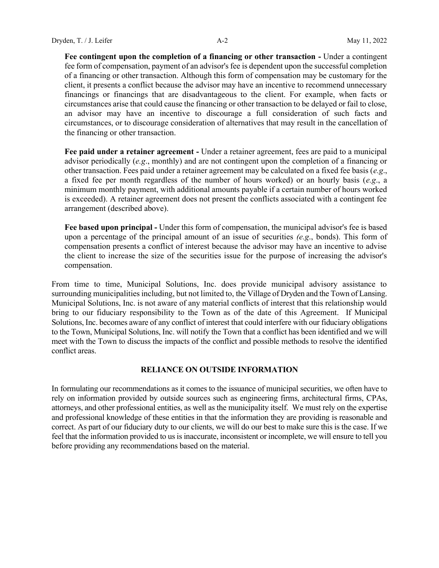**Fee contingent upon the completion of a financing or other transaction -** Under a contingent fee form of compensation, payment of an advisor's fee is dependent upon the successful completion of a financing or other transaction. Although this form of compensation may be customary for the client, it presents a conflict because the advisor may have an incentive to recommend unnecessary financings or financings that are disadvantageous to the client. For example, when facts or circumstances arise that could cause the financing or other transaction to be delayed or fail to close, an advisor may have an incentive to discourage a full consideration of such facts and circumstances, or to discourage consideration of alternatives that may result in the cancellation of the financing or other transaction.

**Fee paid under a retainer agreement -** Under a retainer agreement, fees are paid to a municipal advisor periodically (*e.g*., monthly) and are not contingent upon the completion of a financing or other transaction. Fees paid under a retainer agreement may be calculated on a fixed fee basis (*e.g*., a fixed fee per month regardless of the number of hours worked) or an hourly basis (*e.g*., a minimum monthly payment, with additional amounts payable if a certain number of hours worked is exceeded). A retainer agreement does not present the conflicts associated with a contingent fee arrangement (described above).

**Fee based upon principal -** Under this form of compensation, the municipal advisor's fee is based upon a percentage of the principal amount of an issue of securities *(e.g*., bonds). This form of compensation presents a conflict of interest because the advisor may have an incentive to advise the client to increase the size of the securities issue for the purpose of increasing the advisor's compensation.

From time to time, Municipal Solutions, Inc. does provide municipal advisory assistance to surrounding municipalities including, but not limited to, the Village of Dryden and the Town of Lansing. Municipal Solutions, Inc. is not aware of any material conflicts of interest that this relationship would bring to our fiduciary responsibility to the Town as of the date of this Agreement. If Municipal Solutions, Inc. becomes aware of any conflict of interest that could interfere with our fiduciary obligations to the Town, Municipal Solutions, Inc. will notify the Town that a conflict has been identified and we will meet with the Town to discuss the impacts of the conflict and possible methods to resolve the identified conflict areas.

### **RELIANCE ON OUTSIDE INFORMATION**

In formulating our recommendations as it comes to the issuance of municipal securities, we often have to rely on information provided by outside sources such as engineering firms, architectural firms, CPAs, attorneys, and other professional entities, as well as the municipality itself. We must rely on the expertise and professional knowledge of these entities in that the information they are providing is reasonable and correct. As part of our fiduciary duty to our clients, we will do our best to make sure this is the case. If we feel that the information provided to us is inaccurate, inconsistent or incomplete, we will ensure to tell you before providing any recommendations based on the material.